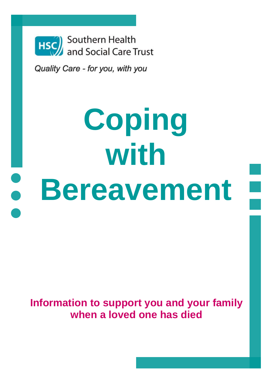

Quality Care - for you, with you

# **Coping with**   $\bullet$ **Bereavement**

**Information to support you and your family when a loved one has died**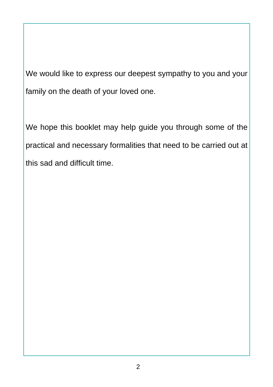We would like to express our deepest sympathy to you and your family on the death of your loved one.

We hope this booklet may help guide you through some of the practical and necessary formalities that need to be carried out at this sad and difficult time.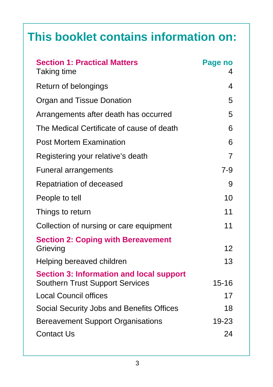## **This booklet contains information on:**

| <b>Section 1: Practical Matters</b><br>Taking time                                        | Page no<br>4 |
|-------------------------------------------------------------------------------------------|--------------|
| Return of belongings                                                                      | 4            |
| Organ and Tissue Donation                                                                 | 5            |
| Arrangements after death has occurred                                                     | 5            |
| The Medical Certificate of cause of death                                                 | 6            |
| <b>Post Mortem Examination</b>                                                            | 6            |
| Registering your relative's death                                                         | 7            |
| <b>Funeral arrangements</b>                                                               | $7-9$        |
| Repatriation of deceased                                                                  | 9            |
| People to tell                                                                            | 10           |
| Things to return                                                                          | 11           |
| Collection of nursing or care equipment                                                   | 11           |
| <b>Section 2: Coping with Bereavement</b><br>Grieving                                     | 12           |
| Helping bereaved children                                                                 | 13           |
| <b>Section 3: Information and local support</b><br><b>Southern Trust Support Services</b> | $15 - 16$    |
| <b>Local Council offices</b>                                                              | 17           |
| Social Security Jobs and Benefits Offices                                                 | 18           |
| <b>Bereavement Support Organisations</b>                                                  | 19-23        |
| <b>Contact Us</b>                                                                         | 24           |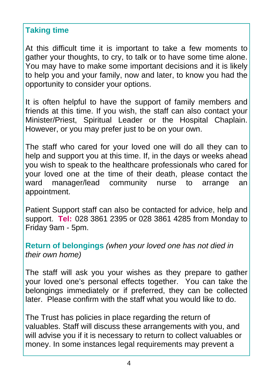## **Taking time**

At this difficult time it is important to take a few moments to gather your thoughts, to cry, to talk or to have some time alone. You may have to make some important decisions and it is likely to help you and your family, now and later, to know you had the opportunity to consider your options.

It is often helpful to have the support of family members and friends at this time. If you wish, the staff can also contact your Minister/Priest, Spiritual Leader or the Hospital Chaplain. However, or you may prefer just to be on your own.

The staff who cared for your loved one will do all they can to help and support you at this time. If, in the days or weeks ahead you wish to speak to the healthcare professionals who cared for your loved one at the time of their death, please contact the ward manager/lead community nurse to arrange an appointment.

Patient Support staff can also be contacted for advice, help and support. **Tel:** 028 3861 2395 or 028 3861 4285 from Monday to Friday 9am - 5pm.

**Return of belongings** *(when your loved one has not died in their own home)* 

The staff will ask you your wishes as they prepare to gather your loved one's personal effects together. You can take the belongings immediately or if preferred, they can be collected later. Please confirm with the staff what you would like to do.

The Trust has policies in place regarding the return of valuables. Staff will discuss these arrangements with you, and will advise you if it is necessary to return to collect valuables or money. In some instances legal requirements may prevent a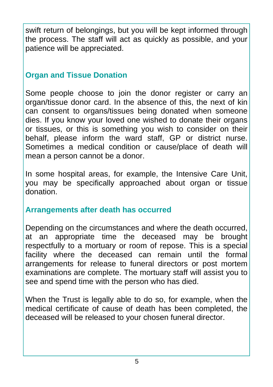swift return of belongings, but you will be kept informed through the process. The staff will act as quickly as possible, and your patience will be appreciated.

## **Organ and Tissue Donation**

Some people choose to join the donor register or carry an organ/tissue donor card. In the absence of this, the next of kin can consent to organs/tissues being donated when someone dies. If you know your loved one wished to donate their organs or tissues, or this is something you wish to consider on their behalf, please inform the ward staff, GP or district nurse. Sometimes a medical condition or cause/place of death will mean a person cannot be a donor.

In some hospital areas, for example, the Intensive Care Unit, you may be specifically approached about organ or tissue donation.

## **Arrangements after death has occurred**

Depending on the circumstances and where the death occurred, at an appropriate time the deceased may be brought respectfully to a mortuary or room of repose. This is a special facility where the deceased can remain until the formal arrangements for release to funeral directors or post mortem examinations are complete. The mortuary staff will assist you to see and spend time with the person who has died.

When the Trust is legally able to do so, for example, when the medical certificate of cause of death has been completed, the deceased will be released to your chosen funeral director.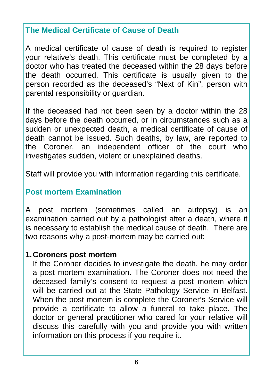## **The Medical Certificate of Cause of Death**

A medical certificate of cause of death is required to register your relative's death. This certificate must be completed by a doctor who has treated the deceased within the 28 days before the death occurred. This certificate is usually given to the person recorded as the deceased's "Next of Kin", person with parental responsibility or guardian.

If the deceased had not been seen by a doctor within the 28 days before the death occurred, or in circumstances such as a sudden or unexpected death, a medical certificate of cause of death cannot be issued. Such deaths, by law, are reported to the Coroner, an independent officer of the court who investigates sudden, violent or unexplained deaths.

Staff will provide you with information regarding this certificate.

## **Post mortem Examination**

A post mortem (sometimes called an autopsy) is an examination carried out by a pathologist after a death, where it is necessary to establish the medical cause of death. There are two reasons why a post-mortem may be carried out:

## **1. Coroners post mortem**

If the Coroner decides to investigate the death, he may order a post mortem examination. The Coroner does not need the deceased family's consent to request a post mortem which will be carried out at the State Pathology Service in Belfast. When the post mortem is complete the Coroner's Service will provide a certificate to allow a funeral to take place. The doctor or general practitioner who cared for your relative will discuss this carefully with you and provide you with written information on this process if you require it.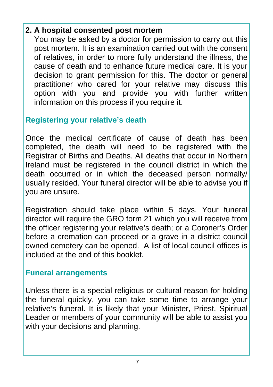## **2. A hospital consented post mortem**

You may be asked by a doctor for permission to carry out this post mortem. It is an examination carried out with the consent of relatives, in order to more fully understand the illness, the cause of death and to enhance future medical care. It is your decision to grant permission for this. The doctor or general practitioner who cared for your relative may discuss this option with you and provide you with further written information on this process if you require it.

## **Registering your relative's death**

Once the medical certificate of cause of death has been completed, the death will need to be registered with the Registrar of Births and Deaths. All deaths that occur in Northern Ireland must be registered in the council district in which the death occurred or in which the deceased person normally/ usually resided. Your funeral director will be able to advise you if you are unsure.

Registration should take place within 5 days. Your funeral director will require the GRO form 21 which you will receive from the officer registering your relative's death; or a Coroner's Order before a cremation can proceed or a grave in a district council owned cemetery can be opened. A list of local council offices is included at the end of this booklet.

## **Funeral arrangements**

Unless there is a special religious or cultural reason for holding the funeral quickly, you can take some time to arrange your relative's funeral. It is likely that your Minister, Priest, Spiritual Leader or members of your community will be able to assist you with your decisions and planning.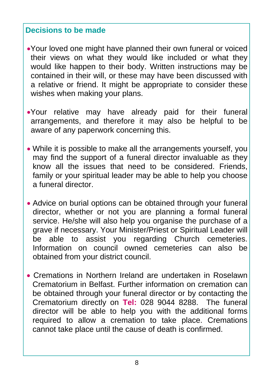## **Decisions to be made**

- Your loved one might have planned their own funeral or voiced their views on what they would like included or what they would like happen to their body. Written instructions may be contained in their will, or these may have been discussed with a relative or friend. It might be appropriate to consider these wishes when making your plans.
- Your relative may have already paid for their funeral arrangements, and therefore it may also be helpful to be aware of any paperwork concerning this.
- While it is possible to make all the arrangements yourself, you may find the support of a funeral director invaluable as they know all the issues that need to be considered. Friends, family or your spiritual leader may be able to help you choose a funeral director.
- Advice on burial options can be obtained through your funeral director, whether or not you are planning a formal funeral service. He/she will also help you organise the purchase of a grave if necessary. Your Minister/Priest or Spiritual Leader will be able to assist you regarding Church cemeteries. Information on council owned cemeteries can also be obtained from your district council.
- Cremations in Northern Ireland are undertaken in Roselawn Crematorium in Belfast. Further information on cremation can be obtained through your funeral director or by contacting the Crematorium directly on **Tel:** 028 9044 8288. The funeral director will be able to help you with the additional forms required to allow a cremation to take place. Cremations cannot take place until the cause of death is confirmed.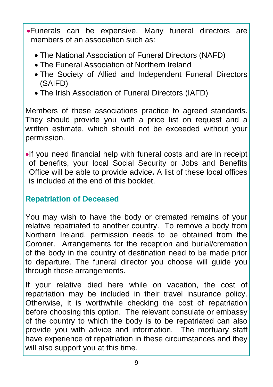Funerals can be expensive. Many funeral directors are members of an association such as:

- The National Association of Funeral Directors (NAFD)
- The Funeral Association of Northern Ireland
- The Society of Allied and Independent Funeral Directors (SAIFD)
- The Irish Association of Funeral Directors (IAFD)

Members of these associations practice to agreed standards. They should provide you with a price list on request and a written estimate, which should not be exceeded without your permission.

If you need financial help with funeral costs and are in receipt of benefits, your local Social Security or Jobs and Benefits Office will be able to provide advice**.** A list of these local offices is included at the end of this booklet.

## **Repatriation of Deceased**

You may wish to have the body or cremated remains of your relative repatriated to another country. To remove a body from Northern Ireland, permission needs to be obtained from the Coroner. Arrangements for the reception and burial/cremation of the body in the country of destination need to be made prior to departure. The funeral director you choose will guide you through these arrangements.

If your relative died here while on vacation, the cost of repatriation may be included in their travel insurance policy. Otherwise, it is worthwhile checking the cost of repatriation before choosing this option. The relevant consulate or embassy of the country to which the body is to be repatriated can also provide you with advice and information. The mortuary staff have experience of repatriation in these circumstances and they will also support you at this time.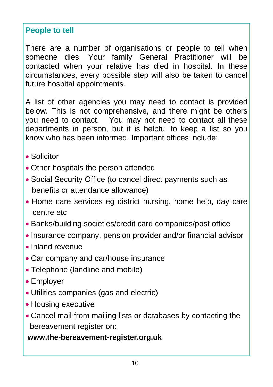## **People to tell**

There are a number of organisations or people to tell when someone dies. Your family General Practitioner will be contacted when your relative has died in hospital. In these circumstances, every possible step will also be taken to cancel future hospital appointments.

A list of other agencies you may need to contact is provided below. This is not comprehensive, and there might be others you need to contact. You may not need to contact all these departments in person, but it is helpful to keep a list so you know who has been informed. Important offices include:

- Solicitor
- Other hospitals the person attended
- Social Security Office (to cancel direct payments such as benefits or attendance allowance)
- Home care services eg district nursing, home help, day care centre etc
- Banks/building societies/credit card companies/post office
- Insurance company, pension provider and/or financial advisor
- Inland revenue
- Car company and car/house insurance
- Telephone (landline and mobile)
- Employer
- Utilities companies (gas and electric)
- Housing executive
- Cancel mail from mailing lists or databases by contacting the bereavement register on:

**www.the-bereavement-register.org.uk**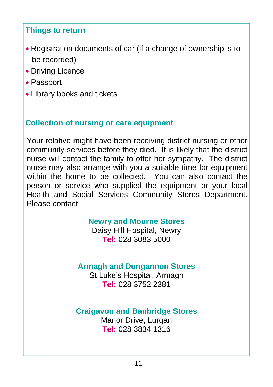## **Things to return**

- Registration documents of car (if a change of ownership is to be recorded)
- Driving Licence
- Passport
- Library books and tickets

## **Collection of nursing or care equipment**

Your relative might have been receiving district nursing or other community services before they died. It is likely that the district nurse will contact the family to offer her sympathy. The district nurse may also arrange with you a suitable time for equipment within the home to be collected. You can also contact the person or service who supplied the equipment or your local Health and Social Services Community Stores Department. Please contact:

## **Newry and Mourne Stores**

Daisy Hill Hospital, Newry **Tel:** 028 3083 5000

## **Armagh and Dungannon Stores**

St Luke's Hospital, Armagh **Tel:** 028 3752 2381

## **Craigavon and Banbridge Stores**

Manor Drive, Lurgan **Tel:** 028 3834 1316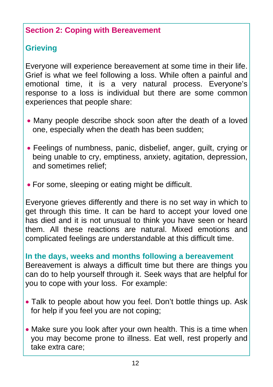## **Section 2: Coping with Bereavement**

## **Grieving**

Everyone will experience bereavement at some time in their life. Grief is what we feel following a loss. While often a painful and emotional time, it is a very natural process. Everyone's response to a loss is individual but there are some common experiences that people share:

- Many people describe shock soon after the death of a loved one, especially when the death has been sudden;
- Feelings of numbness, panic, disbelief, anger, guilt, crying or being unable to cry, emptiness, anxiety, agitation, depression, and sometimes relief;
- For some, sleeping or eating might be difficult.

Everyone grieves differently and there is no set way in which to get through this time. It can be hard to accept your loved one has died and it is not unusual to think you have seen or heard them. All these reactions are natural. Mixed emotions and complicated feelings are understandable at this difficult time.

## **In the days, weeks and months following a bereavement**

Bereavement is always a difficult time but there are things you can do to help yourself through it. Seek ways that are helpful for you to cope with your loss. For example:

- Talk to people about how you feel. Don't bottle things up. Ask for help if you feel you are not coping;
- Make sure you look after your own health. This is a time when you may become prone to illness. Eat well, rest properly and take extra care;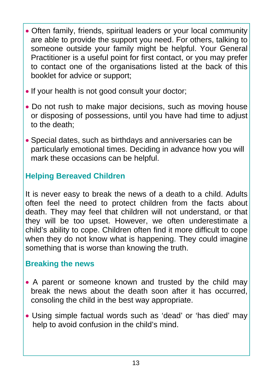- Often family, friends, spiritual leaders or your local community are able to provide the support you need. For others, talking to someone outside your family might be helpful. Your General Practitioner is a useful point for first contact, or you may prefer to contact one of the organisations listed at the back of this booklet for advice or support;
- If your health is not good consult your doctor:
- Do not rush to make major decisions, such as moving house or disposing of possessions, until you have had time to adjust to the death;
- Special dates, such as birthdays and anniversaries can be particularly emotional times. Deciding in advance how you will mark these occasions can be helpful.

## **Helping Bereaved Children**

It is never easy to break the news of a death to a child. Adults often feel the need to protect children from the facts about death. They may feel that children will not understand, or that they will be too upset. However, we often underestimate a child's ability to cope. Children often find it more difficult to cope when they do not know what is happening. They could imagine something that is worse than knowing the truth.

## **Breaking the news**

- A parent or someone known and trusted by the child may break the news about the death soon after it has occurred, consoling the child in the best way appropriate.
- Using simple factual words such as 'dead' or 'has died' may help to avoid confusion in the child's mind.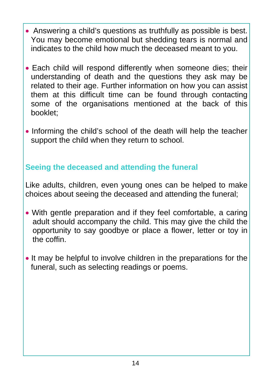- Answering a child's questions as truthfully as possible is best. You may become emotional but shedding tears is normal and indicates to the child how much the deceased meant to you.
- Each child will respond differently when someone dies; their understanding of death and the questions they ask may be related to their age. Further information on how you can assist them at this difficult time can be found through contacting some of the organisations mentioned at the back of this booklet;
- Informing the child's school of the death will help the teacher support the child when they return to school.

## **Seeing the deceased and attending the funeral**

Like adults, children, even young ones can be helped to make choices about seeing the deceased and attending the funeral;

- With gentle preparation and if they feel comfortable, a caring adult should accompany the child. This may give the child the opportunity to say goodbye or place a flower, letter or toy in the coffin.
- It may be helpful to involve children in the preparations for the funeral, such as selecting readings or poems.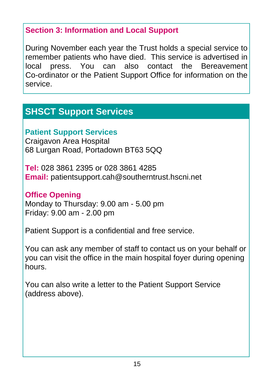## **Section 3: Information and Local Support**

During November each year the Trust holds a special service to remember patients who have died. This service is advertised in local press. You can also contact the Bereavement Co-ordinator or the Patient Support Office for information on the service.

## **SHSCT Support Services**

## **Patient Support Services**

Craigavon Area Hospital 68 Lurgan Road, Portadown BT63 5QQ

**Tel:** 028 3861 2395 or 028 3861 4285 **Email:** patientsupport.cah@southerntrust.hscni.net

## **Office Opening**

Monday to Thursday: 9.00 am - 5.00 pm Friday: 9.00 am - 2.00 pm

Patient Support is a confidential and free service.

You can ask any member of staff to contact us on your behalf or you can visit the office in the main hospital foyer during opening hours.

You can also write a letter to the Patient Support Service (address above).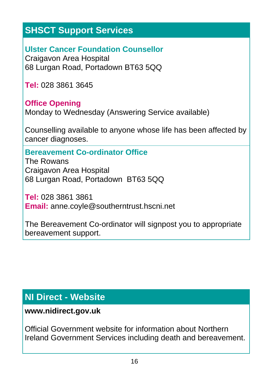## **SHSCT Support Services**

**Ulster Cancer Foundation Counsellor**  Craigavon Area Hospital 68 Lurgan Road, Portadown BT63 5QQ

**Tel:** 028 3861 3645

## **Office Opening**

Monday to Wednesday (Answering Service available)

Counselling available to anyone whose life has been affected by cancer diagnoses.

## **Bereavement Co-ordinator Office**

The Rowans Craigavon Area Hospital 68 Lurgan Road, Portadown BT63 5QQ

**Tel:** 028 3861 3861 **Email:** anne.coyle@southerntrust.hscni.net

The Bereavement Co-ordinator will signpost you to appropriate bereavement support.

## **NI Direct - Website**

## **www.nidirect.gov.uk**

Official Government website for information about Northern Ireland Government Services including death and bereavement.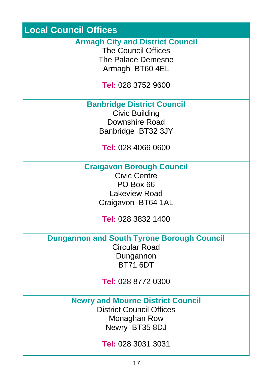## **Local Council Offices**

#### **Armagh City and District Council**

The Council Offices The Palace Demesne Armagh BT60 4EL

**Tel:** 028 3752 9600

**Banbridge District Council** 

Civic Building Downshire Road Banbridge BT32 3JY

**Tel:** 028 4066 0600

**Craigavon Borough Council** 

Civic Centre PO Box 66 Lakeview Road Craigavon BT64 1AL

**Tel:** 028 3832 1400

**Dungannon and South Tyrone Borough Council** 

Circular Road Dungannon BT71 6DT

**Tel:** 028 8772 0300

**Newry and Mourne District Council** 

District Council Offices Monaghan Row Newry BT35 8DJ

**Tel:** 028 3031 3031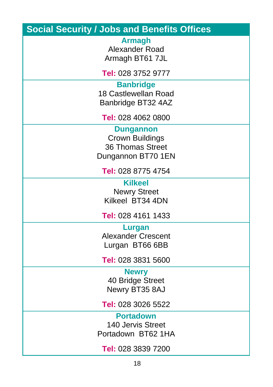| <b>Social Security / Jobs and Benefits Offices</b>                                          |
|---------------------------------------------------------------------------------------------|
| <b>Armagh</b><br>Alexander Road<br>Armagh BT61 7JL                                          |
| Tel: 028 3752 9777                                                                          |
| <b>Banbridge</b><br>18 Castlewellan Road<br>Banbridge BT32 4AZ                              |
| Tel: 028 4062 0800                                                                          |
| <b>Dungannon</b><br><b>Crown Buildings</b><br><b>36 Thomas Street</b><br>Dungannon BT70 1EN |
| Tel: 028 8775 4754                                                                          |
| <b>Kilkeel</b><br><b>Newry Street</b><br>Kilkeel BT34 4DN                                   |
| Tel: 028 4161 1433                                                                          |
| Lurgan<br><b>Alexander Crescent</b><br>Lurgan BT66 6BB                                      |
| Tel: 028 3831 5600                                                                          |
| <b>Newry</b><br>40 Bridge Street<br>Newry BT35 8AJ                                          |
| Tel: 028 3026 5522                                                                          |
| <b>Portadown</b><br>140 Jervis Street<br>Portadown BT62 1HA                                 |
| Tel: 028 3839 7200                                                                          |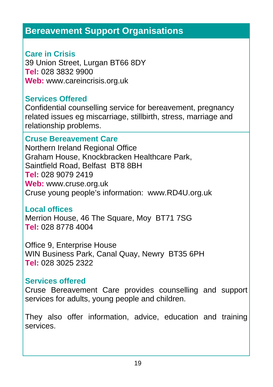## **Bereavement Support Organisations**

## **Care in Crisis**

39 Union Street, Lurgan BT66 8DY **Tel:** 028 3832 9900 **Web:** www.careincrisis.org.uk

## **Services Offered**

Confidential counselling service for bereavement, pregnancy related issues eg miscarriage, stillbirth, stress, marriage and relationship problems.

## **Cruse Bereavement Care**

Northern Ireland Regional Office Graham House, Knockbracken Healthcare Park, Saintfield Road, Belfast BT8 8BH **Tel:** 028 9079 2419 **Web:** www.cruse.org.uk Cruse young people's information: www.RD4U.org.uk

## **Local offices**

Merrion House, 46 The Square, Moy BT71 7SG **Tel:** 028 8778 4004

Office 9, Enterprise House WIN Business Park, Canal Quay, Newry BT35 6PH **Tel:** 028 3025 2322

## **Services offered**

Cruse Bereavement Care provides counselling and support services for adults, young people and children.

They also offer information, advice, education and training services.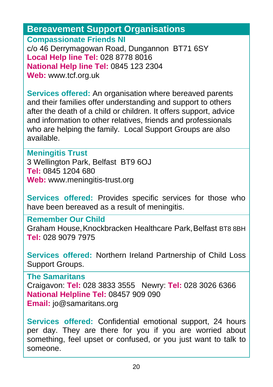**Bereavement Support Organisations**

**Compassionate Friends NI** 

c/o 46 Derrymagowan Road, Dungannon BT71 6SY **Local Help line Tel:** 028 8778 8016 **National Help line Tel:** 0845 123 2304 **Web:** www.tcf.org.uk

**Services offered:** An organisation where bereaved parents and their families offer understanding and support to others after the death of a child or children. It offers support, advice and information to other relatives, friends and professionals who are helping the family. Local Support Groups are also available.

#### **Meningitis Trust**

3 Wellington Park, Belfast BT9 6OJ **Tel:** 0845 1204 680 **Web:** www.meningitis-trust.org

**Services offered:** Provides specific services for those who have been bereaved as a result of meningitis.

**Remember Our Child** 

Graham House, Knockbracken Healthcare Park, Belfast BT8 8BH **Tel:** 028 9079 7975

**Services offered:** Northern Ireland Partnership of Child Loss Support Groups.

**The Samaritans**  Craigavon: **Tel:** 028 3833 3555 Newry: **Tel:** 028 3026 6366 **National Helpline Tel:** 08457 909 090 **Email:** jo@samaritans.org

**Services offered:** Confidential emotional support, 24 hours per day. They are there for you if you are worried about something, feel upset or confused, or you just want to talk to someone.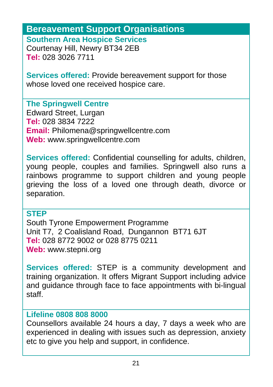#### **Bereavement Support Organisations Southern Area Hospice Services**

Courtenay Hill, Newry BT34 2EB **Tel:** 028 3026 7711

**Services offered:** Provide bereavement support for those whose loved one received hospice care.

**The Springwell Centre** 

Edward Street, Lurgan **Tel:** 028 3834 7222 **Email:** Philomena@springwellcentre.com **Web:** www.springwellcentre.com

**Services offered:** Confidential counselling for adults, children, young people, couples and families. Springwell also runs a rainbows programme to support children and young people grieving the loss of a loved one through death, divorce or separation.

#### **STEP**

South Tyrone Empowerment Programme Unit T7, 2 Coalisland Road, Dungannon BT71 6JT **Tel:** 028 8772 9002 or 028 8775 0211 **Web:** www.stepni.org

**Services offered:** STEP is a community development and training organization. It offers Migrant Support including advice and guidance through face to face appointments with bi-lingual staff.

## **Lifeline 0808 808 8000**

Counsellors available 24 hours a day, 7 days a week who are experienced in dealing with issues such as depression, anxiety etc to give you help and support, in confidence.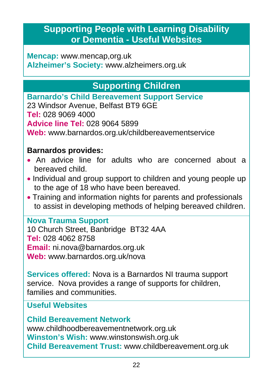## **Supporting People with Learning Disability or Dementia - Useful Websites**

**Mencap:** www.mencap,org.uk **Alzheimer's Society:** www.alzheimers.org.uk

## **Supporting Children**

**Barnardo's Child Bereavement Support Service** 

23 Windsor Avenue, Belfast BT9 6GE

**Tel:** 028 9069 4000

**Advice line Tel:** 028 9064 5899

**Web:** www.barnardos.org.uk/childbereavementservice

## **Barnardos provides:**

- An advice line for adults who are concerned about a bereaved child.
- Individual and group support to children and young people up to the age of 18 who have been bereaved.
- Training and information nights for parents and professionals to assist in developing methods of helping bereaved children.

## **Nova Trauma Support**

10 Church Street, Banbridge BT32 4AA **Tel:** 028 4062 8758 **Email:** ni.nova@barnardos.org.uk **Web:** www.barnardos.org.uk/nova

**Services offered:** Nova is a Barnardos NI trauma support service. Nova provides a range of supports for children, families and communities.

## **Useful Websites**

**Child Bereavement Network**  www.childhoodbereavementnetwork.org.uk **Winston's Wish:** www.winstonswish.org.uk **Child Bereavement Trust:** www.childbereavement.org.uk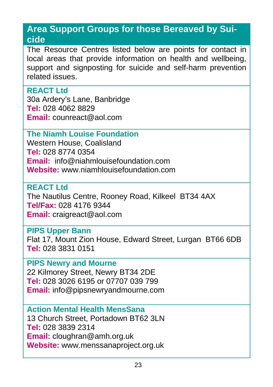## **Area Support Groups for those Bereaved by Suicide**

The Resource Centres listed below are points for contact in local areas that provide information on health and wellbeing, support and signposting for suicide and self-harm prevention related issues.

#### **REACT Ltd**

30a Ardery's Lane, Banbridge **Tel:** 028 4062 8829 **Email:** counreact@aol.com

## **The Niamh Louise Foundation**

Western House, Coalisland **Tel:** 028 8774 0354 **Email:** info@niahmlouisefoundation.com **Website:** www.niamhlouisefoundation.com

## **REACT Ltd**  The Nautilus Centre, Rooney Road, Kilkeel BT34 4AX **Tel/Fax:** 028 4176 9344 **Email:** craigreact@aol.com

## **PIPS Upper Bann**

Flat 17, Mount Zion House, Edward Street, Lurgan BT66 6DB **Tel:** 028 3831 0151

## **PIPS Newry and Mourne**

22 Kilmorey Street, Newry BT34 2DE **Tel:** 028 3026 6195 or 07707 039 799 **Email:** info@pipsnewryandmourne.com

## **Action Mental Health MensSana** 13 Church Street, Portadown BT62 3LN **Tel:** 028 3839 2314 **Email:** cloughran@amh.org.uk **Website:** www.menssanaproject.org.uk